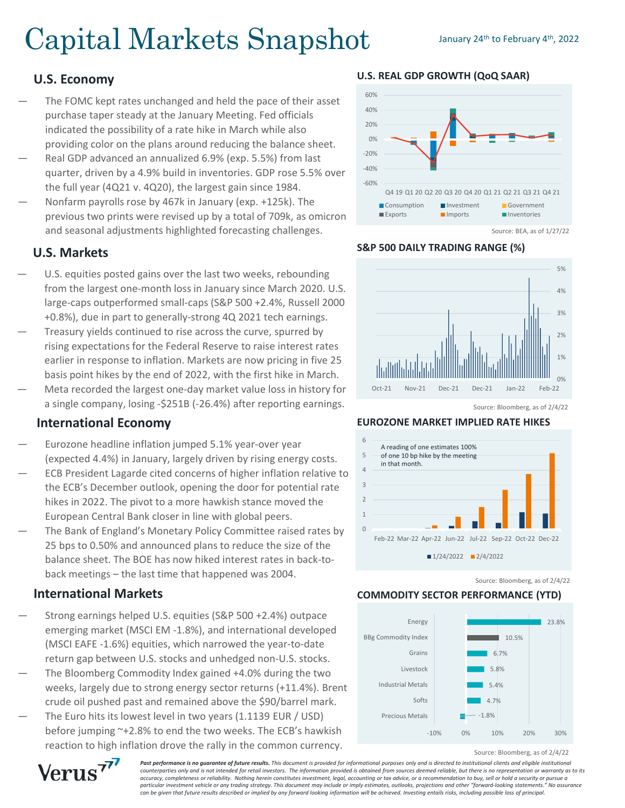# Capital Markets Snapshot January 24th to February 4th, 2022

## **U.S. Economy**

- The FOMC kept rates unchanged and held the pace of their asset purchase taper steady at the January Meeting. Fed officials indicated the possibility of a rate hike in March while also providing color on the plans around reducing the balance sheet.
- Real GDP advanced an annualized 6.9% (exp. 5.5%) from last quarter, driven by a 4.9% build in inventories. GDP rose 5.5% over the full year (4Q21 v. 4Q20), the largest gain since 1984.
- Nonfarm payrolls rose by 467k in January (exp. +125k). The previous two prints were revised up by a total of 709k, as omicron and seasonal adjustments highlighted forecasting challenges.

## **U.S. Markets**

- U.S. equities posted gains over the last two weeks, rebounding from the largest one-month loss in January since March 2020. U.S. large-caps outperformed small-caps (S&P 500 +2.4%, Russell 2000 +0.8%), due in part to generally-strong 4Q 2021 tech earnings.
- Treasury yields continued to rise across the curve, spurred by rising expectations for the Federal Reserve to raise interest rates earlier in response to inflation. Markets are now pricing in five 25 basis point hikes by the end of 2022, with the first hike in March.
- Meta recorded the largest one-day market value loss in history for a single company, losing -\$251B (-26.4%) after reporting earnings.

## **International Economy**

- Eurozone headline inflation jumped 5.1% year-over year (expected 4.4%) in January, largely driven by rising energy costs.
- ECB President Lagarde cited concerns of higher inflation relative to the ECB's December outlook, opening the door for potential rate hikes in 2022. The pivot to a more hawkish stance moved the European Central Bank closer in line with global peers.
- The Bank of England's Monetary Policy Committee raised rates by 25 bps to 0.50% and announced plans to reduce the size of the balance sheet. The BOE has now hiked interest rates in back-toback meetings – the last time that happened was 2004.

## **International Markets**

- Strong earnings helped U.S. equities (S&P 500 +2.4%) outpace emerging market (MSCI EM -1.8%), and international developed (MSCI EAFE -1.6%) equities, which narrowed the year-to-date return gap between U.S. stocks and unhedged non-U.S. stocks.
- The Bloomberg Commodity Index gained +4.0% during the two weeks, largely due to strong energy sector returns (+11.4%). Brent crude oil pushed past and remained above the \$90/barrel mark.
- The Euro hits its lowest level in two years (1.1139 EUR / USD) before jumping ~+2.8% to end the two weeks. The ECB's hawkish reaction to high inflation drove the rally in the common currency.

**U.S. REAL GDP GROWTH (QoQ SAAR)**



#### **S&P 500 DAILY TRADING RANGE (%)**



Source: Bloomberg, as of 2/4/22

#### **EUROZONE MARKET IMPLIED RATE HIKES**



Source: Bloomberg, as of 2/4/22

## **COMMODITY SECTOR PERFORMANCE (YTD)**



Source: Bloomberg, as of 2/4/22



**Past performance is no guarantee of future results.** This document is provided for informational purposes only and is directed to institutional clients and eligible institutional *counterparties only and is not intended for retail investors. The information provided is obtained from sources deemed reliable, but there is no representation or warranty as to its accuracy, completeness or reliability. Nothing herein constitutes investment, legal, accounting or tax advice, or a recommendation to buy, sell or hold a security or pursue a particular investment vehicle or any trading strategy. This document may include or imply estimates, outlooks, projections and other "forward-looking statements." No assurance can be given that future results described or implied by any forward looking information will be achieved. Investing entails risks, including possible loss of principal.*